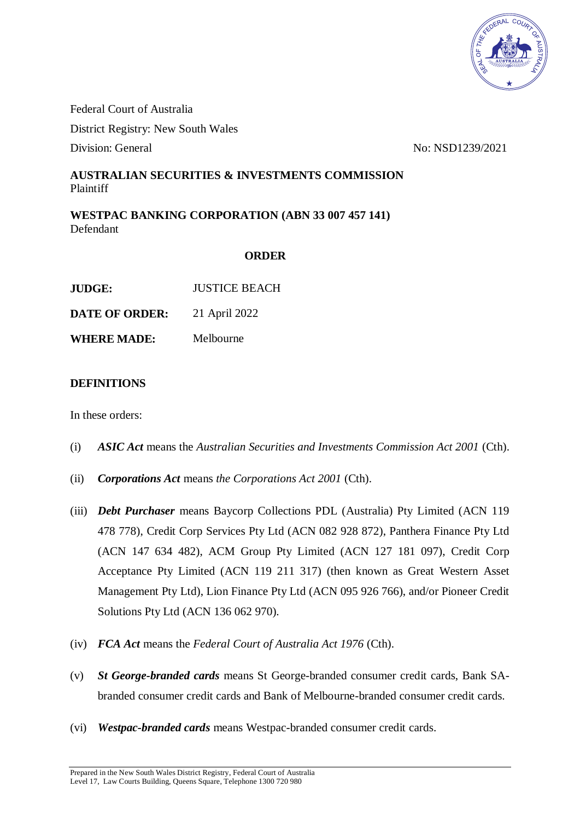

Federal Court of Australia District Registry: New South Wales Division: General No: NSD1239/2021

## **AUSTRALIAN SECURITIES & INVESTMENTS COMMISSION** Plaintiff

**WESTPAC BANKING CORPORATION (ABN 33 007 457 141)** Defendant

## **ORDER**

| JUDGE:                | <b>JUSTICE BEACH</b> |
|-----------------------|----------------------|
| <b>DATE OF ORDER:</b> | 21 April 2022        |
| <b>WHERE MADE:</b>    | Melbourne            |

#### **DEFINITIONS**

In these orders:

- (i) *ASIC Act* means the *Australian Securities and Investments Commission Act 2001* (Cth).
- (ii) *Corporations Act* means *the Corporations Act 2001* (Cth).
- (iii) *Debt Purchaser* means Baycorp Collections PDL (Australia) Pty Limited (ACN 119 478 778), Credit Corp Services Pty Ltd (ACN 082 928 872), Panthera Finance Pty Ltd (ACN 147 634 482), ACM Group Pty Limited (ACN 127 181 097), Credit Corp Acceptance Pty Limited (ACN 119 211 317) (then known as Great Western Asset Management Pty Ltd), Lion Finance Pty Ltd (ACN 095 926 766), and/or Pioneer Credit Solutions Pty Ltd (ACN 136 062 970).
- (iv) *FCA Act* means the *Federal Court of Australia Act 1976* (Cth).
- (v) *St George-branded cards* means St George-branded consumer credit cards, Bank SAbranded consumer credit cards and Bank of Melbourne-branded consumer credit cards.
- (vi) *Westpac-branded cards* means Westpac-branded consumer credit cards.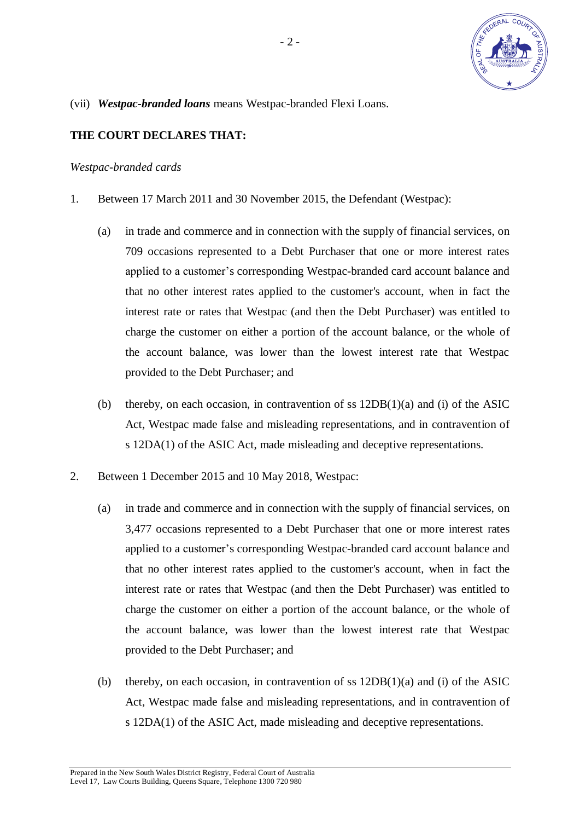

(vii) *Westpac-branded loans* means Westpac-branded Flexi Loans.

# **THE COURT DECLARES THAT:**

### *Westpac-branded cards*

- 1. Between 17 March 2011 and 30 November 2015, the Defendant (Westpac):
	- (a) in trade and commerce and in connection with the supply of financial services, on 709 occasions represented to a Debt Purchaser that one or more interest rates applied to a customer's corresponding Westpac-branded card account balance and that no other interest rates applied to the customer's account, when in fact the interest rate or rates that Westpac (and then the Debt Purchaser) was entitled to charge the customer on either a portion of the account balance, or the whole of the account balance, was lower than the lowest interest rate that Westpac provided to the Debt Purchaser; and
	- (b) thereby, on each occasion, in contravention of ss 12DB(1)(a) and (i) of the ASIC Act, Westpac made false and misleading representations, and in contravention of s 12DA(1) of the ASIC Act, made misleading and deceptive representations.
- 2. Between 1 December 2015 and 10 May 2018, Westpac:
	- (a) in trade and commerce and in connection with the supply of financial services, on 3,477 occasions represented to a Debt Purchaser that one or more interest rates applied to a customer's corresponding Westpac-branded card account balance and that no other interest rates applied to the customer's account, when in fact the interest rate or rates that Westpac (and then the Debt Purchaser) was entitled to charge the customer on either a portion of the account balance, or the whole of the account balance, was lower than the lowest interest rate that Westpac provided to the Debt Purchaser; and
	- (b) thereby, on each occasion, in contravention of ss 12DB(1)(a) and (i) of the ASIC Act, Westpac made false and misleading representations, and in contravention of s 12DA(1) of the ASIC Act, made misleading and deceptive representations.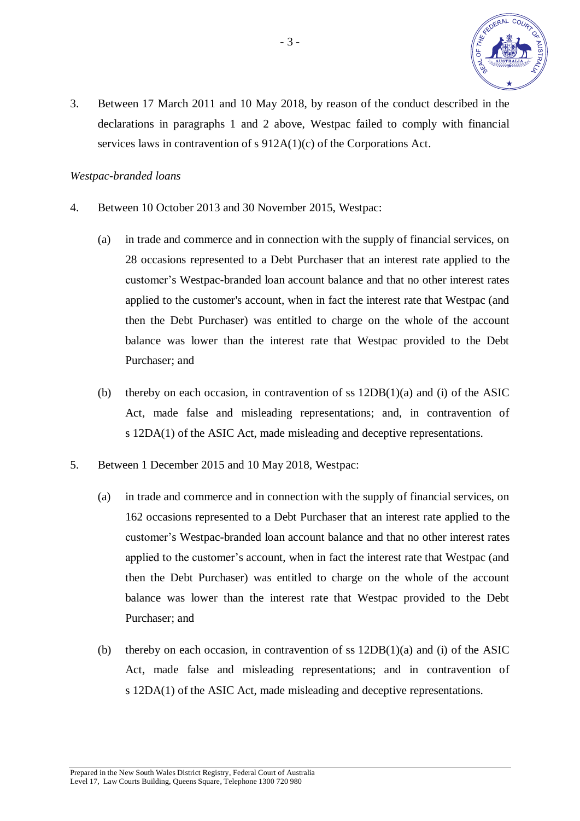

3. Between 17 March 2011 and 10 May 2018, by reason of the conduct described in the declarations in paragraphs 1 and 2 above, Westpac failed to comply with financial services laws in contravention of s 912A(1)(c) of the Corporations Act.

### *Westpac-branded loans*

- 4. Between 10 October 2013 and 30 November 2015, Westpac:
	- (a) in trade and commerce and in connection with the supply of financial services, on 28 occasions represented to a Debt Purchaser that an interest rate applied to the customer's Westpac-branded loan account balance and that no other interest rates applied to the customer's account, when in fact the interest rate that Westpac (and then the Debt Purchaser) was entitled to charge on the whole of the account balance was lower than the interest rate that Westpac provided to the Debt Purchaser; and
	- (b) thereby on each occasion, in contravention of ss 12DB(1)(a) and (i) of the ASIC Act, made false and misleading representations; and, in contravention of s 12DA(1) of the ASIC Act, made misleading and deceptive representations.
- 5. Between 1 December 2015 and 10 May 2018, Westpac:
	- (a) in trade and commerce and in connection with the supply of financial services, on 162 occasions represented to a Debt Purchaser that an interest rate applied to the customer's Westpac-branded loan account balance and that no other interest rates applied to the customer's account, when in fact the interest rate that Westpac (and then the Debt Purchaser) was entitled to charge on the whole of the account balance was lower than the interest rate that Westpac provided to the Debt Purchaser; and
	- (b) thereby on each occasion, in contravention of ss 12DB(1)(a) and (i) of the ASIC Act, made false and misleading representations; and in contravention of s 12DA(1) of the ASIC Act, made misleading and deceptive representations.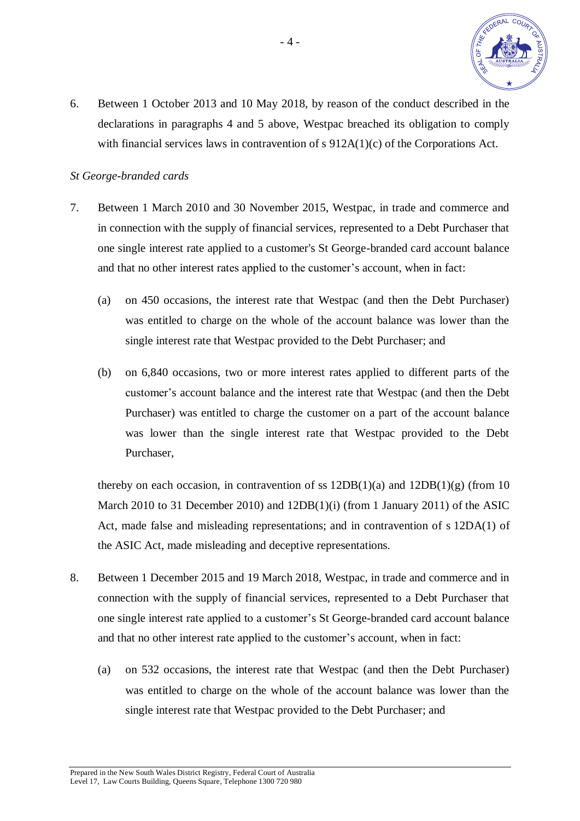

6. Between 1 October 2013 and 10 May 2018, by reason of the conduct described in the declarations in paragraphs 4 and 5 above, Westpac breached its obligation to comply with financial services laws in contravention of s 912A(1)(c) of the Corporations Act.

## *St George-branded cards*

- 7. Between 1 March 2010 and 30 November 2015, Westpac, in trade and commerce and in connection with the supply of financial services, represented to a Debt Purchaser that one single interest rate applied to a customer's St George-branded card account balance and that no other interest rates applied to the customer's account, when in fact:
	- (a) on 450 occasions, the interest rate that Westpac (and then the Debt Purchaser) was entitled to charge on the whole of the account balance was lower than the single interest rate that Westpac provided to the Debt Purchaser; and
	- (b) on 6,840 occasions, two or more interest rates applied to different parts of the customer's account balance and the interest rate that Westpac (and then the Debt Purchaser) was entitled to charge the customer on a part of the account balance was lower than the single interest rate that Westpac provided to the Debt Purchaser,

thereby on each occasion, in contravention of ss  $12DB(1)(a)$  and  $12DB(1)(g)$  (from 10 March 2010 to 31 December 2010) and 12DB(1)(i) (from 1 January 2011) of the ASIC Act, made false and misleading representations; and in contravention of s 12DA(1) of the ASIC Act, made misleading and deceptive representations.

- 8. Between 1 December 2015 and 19 March 2018, Westpac, in trade and commerce and in connection with the supply of financial services, represented to a Debt Purchaser that one single interest rate applied to a customer's St George-branded card account balance and that no other interest rate applied to the customer's account, when in fact:
	- (a) on 532 occasions, the interest rate that Westpac (and then the Debt Purchaser) was entitled to charge on the whole of the account balance was lower than the single interest rate that Westpac provided to the Debt Purchaser; and